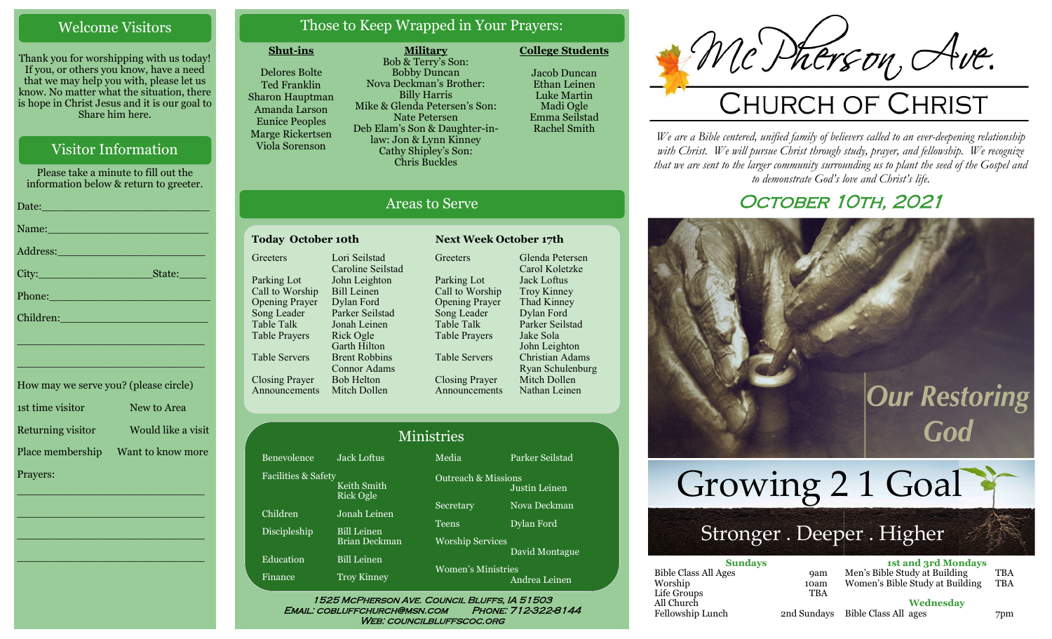# Welcome Visitors

Thank you for worshipping with us today! If you, or others you know, have a need that we may help you with, please let us know. No matter what the situation, there is hope in Christ Jesus and it is our goal to Share him here.

# Visitor Information

Please take a minute to fill out the information below & return to greeter. Date:\_\_\_\_\_\_\_\_\_\_\_\_\_\_\_\_\_\_\_\_\_\_\_\_\_ Name: Address:\_\_\_\_\_\_\_\_\_\_\_\_\_\_\_\_\_\_\_\_\_\_ City:\_\_\_\_\_\_\_\_\_\_\_\_\_\_\_\_\_State:\_\_\_\_ Phone:\_\_\_\_\_\_\_\_\_\_\_\_\_\_\_\_\_\_\_\_\_\_\_\_ Children: \_\_\_\_\_\_\_\_\_\_\_\_\_\_\_\_\_\_\_\_\_\_\_\_\_\_\_\_ \_\_\_\_\_\_\_\_\_\_\_\_\_\_\_\_\_\_\_\_\_\_\_\_\_\_\_\_

1st time visitor New to Area Returning visitor Would like a visit Place membership Want to know more Prayers:

\_\_\_\_\_\_\_\_\_\_\_\_\_\_\_\_\_\_\_\_\_\_\_\_\_\_\_\_

 $\overline{\phantom{a}}$  , and the set of the set of the set of the set of the set of the set of the set of the set of the set of the set of the set of the set of the set of the set of the set of the set of the set of the set of the s

 $\overline{\phantom{a}}$  , and the set of the set of the set of the set of the set of the set of the set of the set of the set of the set of the set of the set of the set of the set of the set of the set of the set of the set of the s

\_\_\_\_\_\_\_\_\_\_\_\_\_\_\_\_\_\_\_\_\_\_\_\_\_\_\_\_

How may we serve you? (please circle)

# Those to Keep Wrapped in Your Prayers:

**Military**

#### **Shut-ins**

Delores Bolte Ted Franklin Sharon Hauptman Amanda Larson Eunice Peoples Marge Rickertsen Viola Sorenson

Bob & Terry's Son: Bobby Duncan Nova Deckman's Brother: Billy Harris Mike & Glenda Petersen's Son: Nate Petersen Deb Elam's Son & Daughter-inlaw: Jon & Lynn Kinney Cathy Shipley's Son: Chris Buckles

Jacob Duncan Ethan Leinen Luke Martin Madi Ogle

Emma Seilstad Rachel Smith

**College Students** 

McDherson, Ave.

*We are a Bible centered, unified family of believers called to an ever-deepening relationship*  with Christ. We will pursue Christ through study, prayer, and fellowship. We recognize *that we are sent to the larger community surrounding us to plant the seed of the Gospel and to demonstrate God's love and Christ's life.*

# OCTOBER 10TH, 2021



|             | <b>1st and 3rd Mondays</b>      |                      |
|-------------|---------------------------------|----------------------|
| <b>9am</b>  | Men's Bible Study at Building   | <b>TBA</b>           |
| 10am        | Women's Bible Study at Building | <b>TBA</b>           |
| TBA         |                                 |                      |
|             | Wednesdav                       |                      |
| 2nd Sundays |                                 | 7pm                  |
|             |                                 | Bible Class All ages |

# Areas to Serve

#### Today October 10th **Next Week October 17th Greeters** Parking Lot Call to Worship Opening Prayer Song Leader Table Talk Table Prayers Table Servers Closing Prayer Announcements Mitch Dollen Lori Seilstad Caroline Seilstad John Leighton Bill Leinen Dylan Ford Parker Seilstad Jonah Leinen Rick Ogle Garth Hilton Brent Robbins Connor Adams Bob Helton

**Greeters** Parking Lot Call to Worship Opening Prayer Song Leader Table Talk Table Prayers Table Servers Closing Prayer Announcements Glenda Petersen Carol Koletzke Jack Loftus Troy Kinney Thad Kinney Dylan Ford Parker Seilstad Jake Sola John Leighton Christian Adams Ryan Schulenburg Mitch Dollen Nathan Leinen

| <b>Ministries</b>   |                                     |                                            |                 |  |
|---------------------|-------------------------------------|--------------------------------------------|-----------------|--|
| Benevolence         | <b>Jack Loftus</b>                  | Media                                      | Parker Seilstad |  |
| Facilities & Safety | Keith Smith<br>Rick Ogle            | <b>Outreach &amp; Missions</b>             | Justin Leinen   |  |
| Children            | Jonah Leinen                        | Secretary                                  | Nova Deckman    |  |
| Discipleship        | <b>Bill Leinen</b>                  | <b>Teens</b>                               | Dylan Ford      |  |
| Education           | Brian Deckman<br><b>Bill Leinen</b> | <b>Worship Services</b>                    | David Montague  |  |
| Finance             | <b>Troy Kinney</b>                  | <b>Women's Ministries</b><br>Andrea Leinen |                 |  |

WEB: COUNCILBLUFFSCOC.ORG